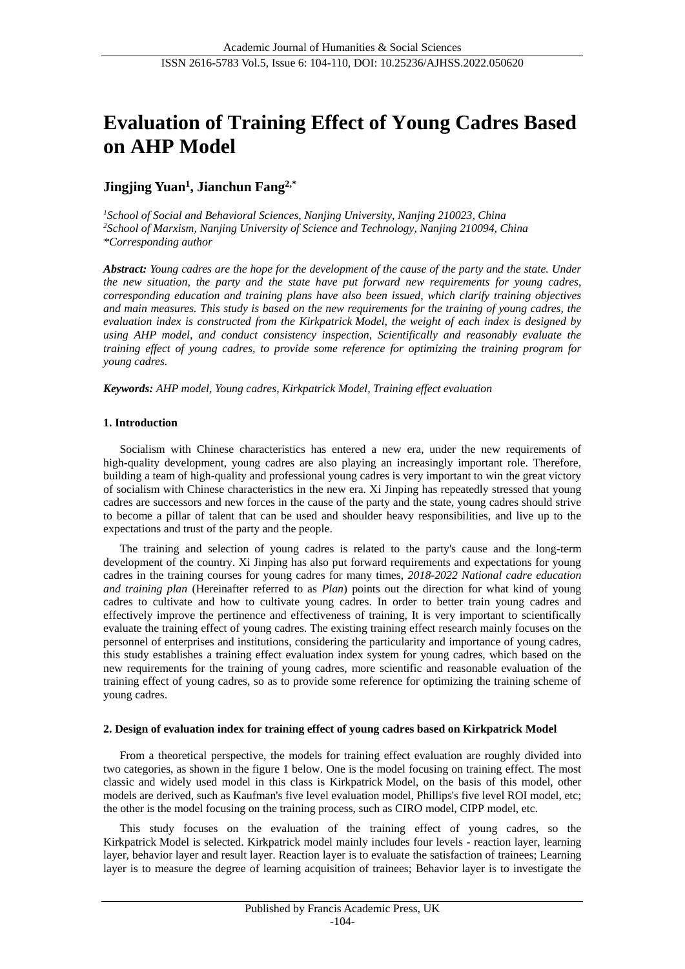# **Evaluation of Training Effect of Young Cadres Based on AHP Model**

## **Jingjing Yuan<sup>1</sup> , Jianchun Fang2,\***

*<sup>1</sup>School of Social and Behavioral Sciences, Nanjing University, Nanjing 210023, China <sup>2</sup>School of Marxism, Nanjing University of Science and Technology, Nanjing 210094, China \*Corresponding author*

*Abstract: Young cadres are the hope for the development of the cause of the party and the state. Under the new situation, the party and the state have put forward new requirements for young cadres, corresponding education and training plans have also been issued, which clarify training objectives and main measures. This study is based on the new requirements for the training of young cadres, the evaluation index is constructed from the Kirkpatrick Model, the weight of each index is designed by using AHP model, and conduct consistency inspection, Scientifically and reasonably evaluate the training effect of young cadres, to provide some reference for optimizing the training program for young cadres.*

*Keywords: AHP model, Young cadres, Kirkpatrick Model, Training effect evaluation*

#### **1. Introduction**

Socialism with Chinese characteristics has entered a new era, under the new requirements of high-quality development, young cadres are also playing an increasingly important role. Therefore, building a team of high-quality and professional young cadres is very important to win the great victory of socialism with Chinese characteristics in the new era. Xi Jinping has repeatedly stressed that young cadres are successors and new forces in the cause of the party and the state, young cadres should strive to become a pillar of talent that can be used and shoulder heavy responsibilities, and live up to the expectations and trust of the party and the people.

The training and selection of young cadres is related to the party's cause and the long-term development of the country. Xi Jinping has also put forward requirements and expectations for young cadres in the training courses for young cadres for many times, *2018-2022 National cadre education and training plan* (Hereinafter referred to as *Plan*) points out the direction for what kind of young cadres to cultivate and how to cultivate young cadres. In order to better train young cadres and effectively improve the pertinence and effectiveness of training, It is very important to scientifically evaluate the training effect of young cadres. The existing training effect research mainly focuses on the personnel of enterprises and institutions, considering the particularity and importance of young cadres, this study establishes a training effect evaluation index system for young cadres, which based on the new requirements for the training of young cadres, more scientific and reasonable evaluation of the training effect of young cadres, so as to provide some reference for optimizing the training scheme of young cadres.

#### **2. Design of evaluation index for training effect of young cadres based on Kirkpatrick Model**

From a theoretical perspective, the models for training effect evaluation are roughly divided into two categories, as shown in the figure 1 below. One is the model focusing on training effect. The most classic and widely used model in this class is Kirkpatrick Model, on the basis of this model, other models are derived, such as Kaufman's five level evaluation model, Phillips's five level ROI model, etc; the other is the model focusing on the training process, such as CIRO model, CIPP model, etc.

This study focuses on the evaluation of the training effect of young cadres, so the Kirkpatrick Model is selected. Kirkpatrick model mainly includes four levels - reaction layer, learning layer, behavior layer and result layer. Reaction layer is to evaluate the satisfaction of trainees; Learning layer is to measure the degree of learning acquisition of trainees; Behavior layer is to investigate the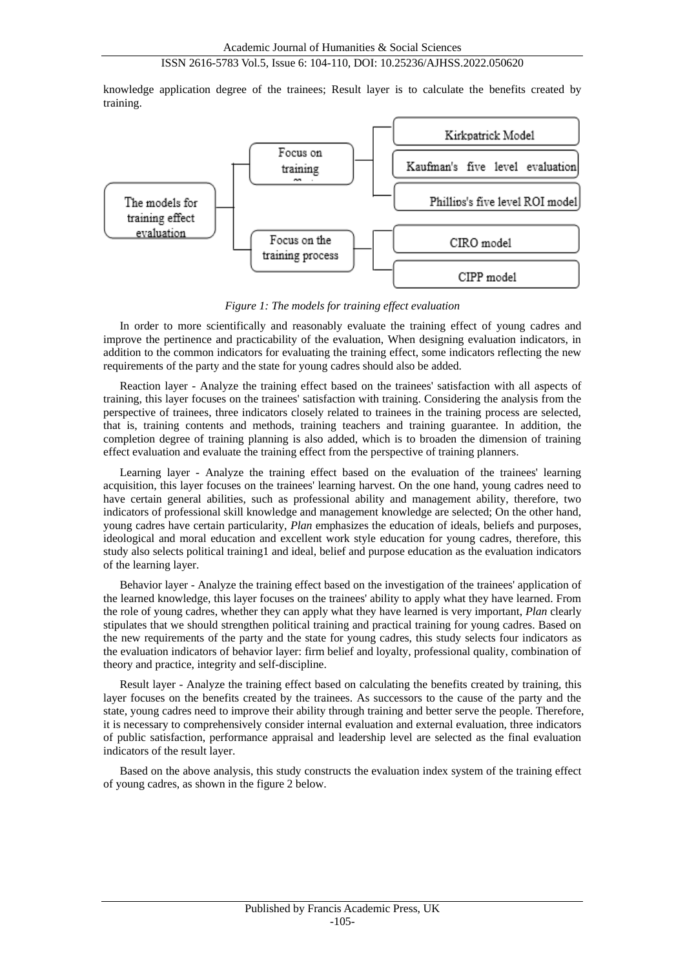## ISSN 2616-5783 Vol.5, Issue 6: 104-110, DOI: 10.25236/AJHSS.2022.050620

knowledge application degree of the trainees; Result layer is to calculate the benefits created by training.



*Figure 1: The models for training effect evaluation*

In order to more scientifically and reasonably evaluate the training effect of young cadres and improve the pertinence and practicability of the evaluation, When designing evaluation indicators, in addition to the common indicators for evaluating the training effect, some indicators reflecting the new requirements of the party and the state for young cadres should also be added.

Reaction layer - Analyze the training effect based on the trainees' satisfaction with all aspects of training, this layer focuses on the trainees' satisfaction with training. Considering the analysis from the perspective of trainees, three indicators closely related to trainees in the training process are selected, that is, training contents and methods, training teachers and training guarantee. In addition, the completion degree of training planning is also added, which is to broaden the dimension of training effect evaluation and evaluate the training effect from the perspective of training planners.

Learning layer - Analyze the training effect based on the evaluation of the trainees' learning acquisition, this layer focuses on the trainees' learning harvest. On the one hand, young cadres need to have certain general abilities, such as professional ability and management ability, therefore, two indicators of professional skill knowledge and management knowledge are selected; On the other hand, young cadres have certain particularity, *Plan* emphasizes the education of ideals, beliefs and purposes, ideological and moral education and excellent work style education for young cadres, therefore, this study also selects political training1 and ideal, belief and purpose education as the evaluation indicators of the learning layer.

Behavior layer - Analyze the training effect based on the investigation of the trainees' application of the learned knowledge, this layer focuses on the trainees' ability to apply what they have learned. From the role of young cadres, whether they can apply what they have learned is very important, *Plan* clearly stipulates that we should strengthen political training and practical training for young cadres. Based on the new requirements of the party and the state for young cadres, this study selects four indicators as the evaluation indicators of behavior layer: firm belief and loyalty, professional quality, combination of theory and practice, integrity and self-discipline.

Result layer - Analyze the training effect based on calculating the benefits created by training, this layer focuses on the benefits created by the trainees. As successors to the cause of the party and the state, young cadres need to improve their ability through training and better serve the people. Therefore, it is necessary to comprehensively consider internal evaluation and external evaluation, three indicators of public satisfaction, performance appraisal and leadership level are selected as the final evaluation indicators of the result layer.

Based on the above analysis, this study constructs the evaluation index system of the training effect of young cadres, as shown in the figure 2 below.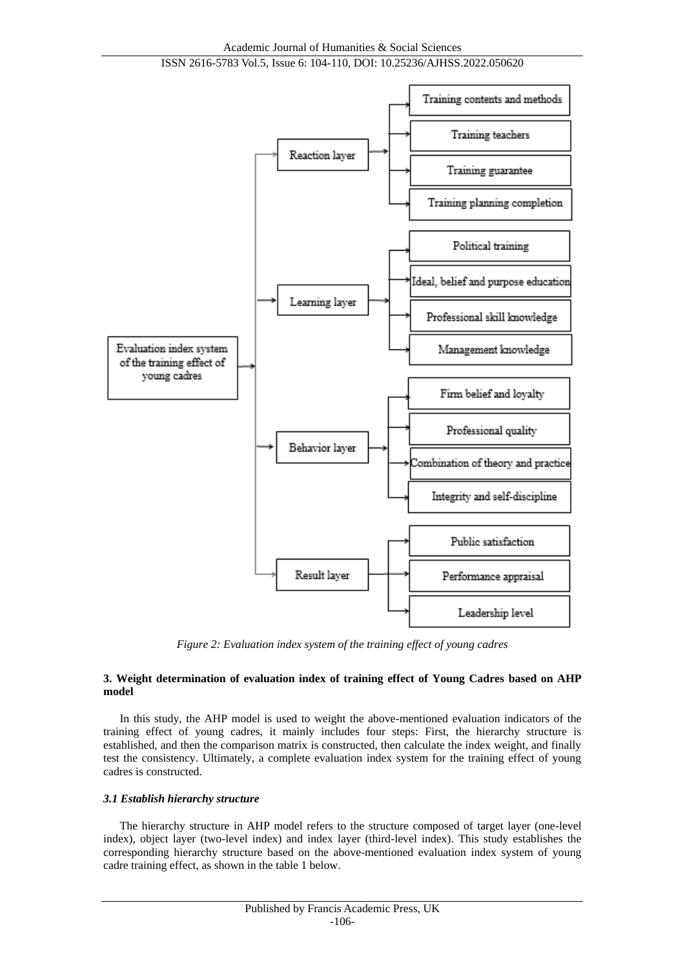

*Figure 2: Evaluation index system of the training effect of young cadres*

#### **3. Weight determination of evaluation index of training effect of Young Cadres based on AHP model**

In this study, the AHP model is used to weight the above-mentioned evaluation indicators of the training effect of young cadres, it mainly includes four steps: First, the hierarchy structure is established, and then the comparison matrix is constructed, then calculate the index weight, and finally test the consistency. Ultimately, a complete evaluation index system for the training effect of young cadres is constructed.

### *3.1 Establish hierarchy structure*

The hierarchy structure in AHP model refers to the structure composed of target layer (one-level index), object layer (two-level index) and index layer (third-level index). This study establishes the corresponding hierarchy structure based on the above-mentioned evaluation index system of young cadre training effect, as shown in the table 1 below.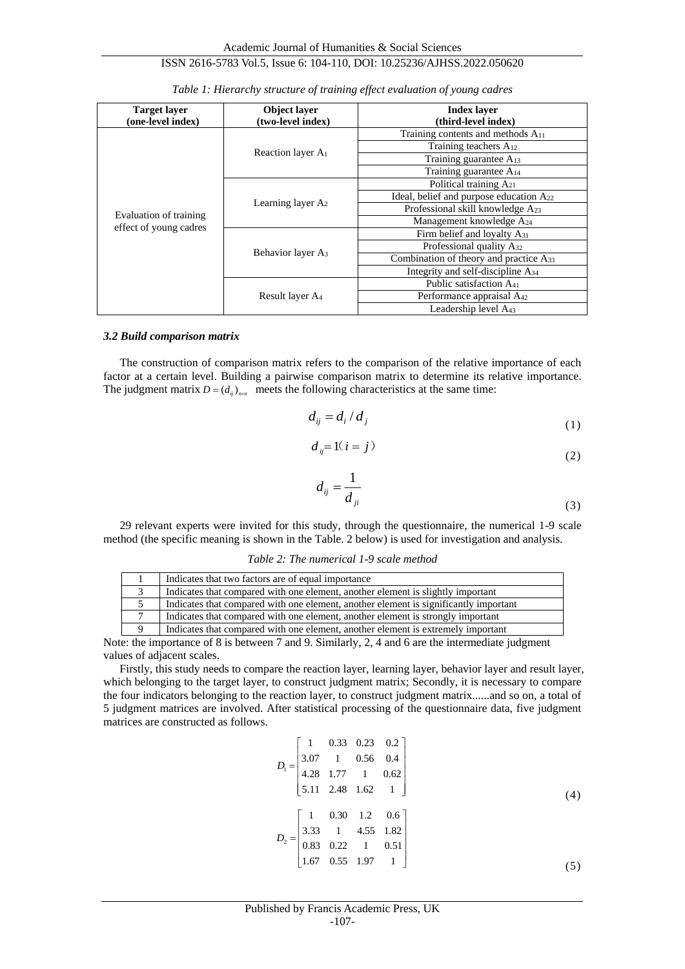#### **Target layer (one-level index) Object layer (two-level index) Index layer (third-level index)** Evaluation of training effect of young cadres Reaction layer A<sup>1</sup> Training contents and methods A<sup>11</sup> Training teachers A<sup>12</sup> Training guarantee A<sub>13</sub> Training guarantee A<sup>14</sup> Learning layer A<sup>2</sup> Political training A<sub>21</sub> Ideal, belief and purpose education A<sup>22</sup> Professional skill knowledge A<sup>23</sup> Management knowledge A<sup>24</sup> Behavior layer A<sup>3</sup> Firm belief and loyalty A<sub>31</sub> Professional quality A<sub>32</sub> Combination of theory and practice A<sup>33</sup> Integrity and self-discipline A<sup>34</sup> Result layer A<sup>4</sup> Public satisfaction A<sub>41</sub> Performance appraisal A<sup>42</sup> Leadership level A<sup>43</sup>

*Table 1: Hierarchy structure of training effect evaluation of young cadres*

#### *3.2 Build comparison matrix*

The construction of comparison matrix refers to the comparison of the relative importance of each factor at a certain level. Building a pairwise comparison matrix to determine its relative importance. The judgment matrix  $D = (d_{ij})_{n \times n}$  meets the following characteristics at the same time:

$$
d_{ij} = d_i/d_j \tag{1}
$$

$$
d_{ij} = 1(i = j)
$$
\n<sup>(2)</sup>

$$
d_{ij} = \frac{1}{d_{ji}}\tag{3}
$$

29 relevant experts were invited for this study, through the questionnaire, the numerical 1-9 scale method (the specific meaning is shown in the Table. 2 below) is used for investigation and analysis.

#### *Table 2: The numerical 1-9 scale method*

| Indicates that two factors are of equal importance                                   |
|--------------------------------------------------------------------------------------|
| Indicates that compared with one element, another element is slightly important      |
| Indicates that compared with one element, another element is significantly important |
| Indicates that compared with one element, another element is strongly important      |
| Indicates that compared with one element, another element is extremely important     |

Note: the importance of 8 is between 7 and 9. Similarly, 2, 4 and 6 are the intermediate judgment values of adjacent scales.

Firstly, this study needs to compare the reaction layer, learning layer, behavior layer and result layer, which belonging to the target layer, to construct judgment matrix; Secondly, it is necessary to compare the four indicators belonging to the reaction layer, to construct judgment matrix......and so on, a total of 5 judgment matrices are involved. After statistical processing of the questionnaire data, five judgment matrices are constructed as follows.

$$
D_{1} = \begin{bmatrix} 1 & 0.33 & 0.23 & 0.2 \\ 3.07 & 1 & 0.56 & 0.4 \\ 4.28 & 1.77 & 1 & 0.62 \\ 5.11 & 2.48 & 1.62 & 1 \end{bmatrix}
$$
  
\n
$$
D_{2} = \begin{bmatrix} 1 & 0.30 & 1.2 & 0.6 \\ 3.33 & 1 & 4.55 & 1.82 \\ 0.83 & 0.22 & 1 & 0.51 \\ 1.67 & 0.55 & 1.97 & 1 \end{bmatrix}
$$
 (5)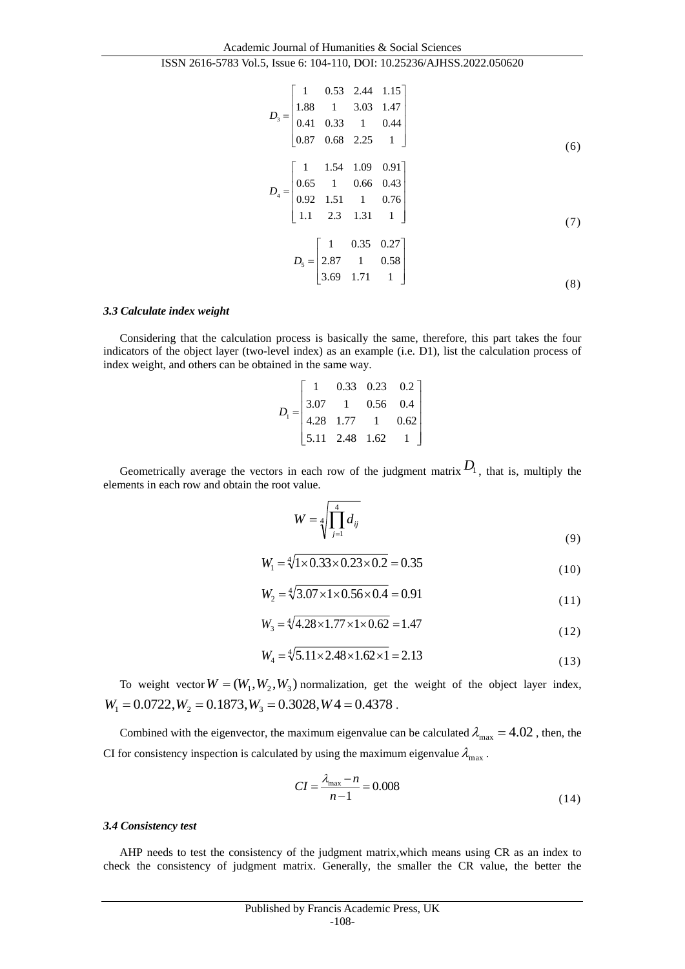Academic Journal of Humanities & Social Sciences ISSN 2616-5783 Vol.5, Issue 6: 104-110, DOI: 10.25236/AJHSS.2022.050620

$$
D_3 = \begin{bmatrix} 1 & 0.53 & 2.44 & 1.15 \\ 1.88 & 1 & 3.03 & 1.47 \\ 0.41 & 0.33 & 1 & 0.44 \\ 0.87 & 0.68 & 2.25 & 1 \end{bmatrix}
$$
(6)  

$$
D_4 = \begin{bmatrix} 1 & 1.54 & 1.09 & 0.91 \\ 0.65 & 1 & 0.66 & 0.43 \\ 0.92 & 1.51 & 1 & 0.76 \\ 1.1 & 2.3 & 1.31 & 1 \end{bmatrix}
$$
(7)  

$$
D_5 = \begin{bmatrix} 1 & 0.35 & 0.27 \\ 2.87 & 1 & 0.58 \\ 3.69 & 1.71 & 1 \end{bmatrix}
$$
(8)

#### *3.3 Calculate index weight*

Considering that the calculation process is basically the same, therefore, this part takes the four indicators of the object layer (two-level index) as an example (i.e. D1), list the calculation process of index weight, and others can be obtained in the same way.

| $D_1 = \begin{bmatrix} 3.07 & 1 & 0.56 & 0.4 \\ 4.28 & 1.77 & 1 & 0.62 \\ 5.11 & 2.48 & 1.62 & 1 \end{bmatrix}$ |  | $\begin{bmatrix} 1 & 0.33 & 0.23 & 0.2 \end{bmatrix}$ |  |
|-----------------------------------------------------------------------------------------------------------------|--|-------------------------------------------------------|--|
|                                                                                                                 |  |                                                       |  |
|                                                                                                                 |  |                                                       |  |
|                                                                                                                 |  |                                                       |  |

Geometrically average the vectors in each row of the judgment matrix  $D_1$ , that is, multiply the elements in each row and obtain the root value.

$$
W = \sqrt[4]{\prod_{j=1}^{4} d_{ij}} \tag{9}
$$

$$
W_1 = \sqrt[4]{1 \times 0.33 \times 0.23 \times 0.2} = 0.35
$$
 (10)

$$
W_2 = \sqrt[4]{3.07 \times 1 \times 0.56 \times 0.4} = 0.91
$$
\n(11)

$$
W_3 = \sqrt[4]{4.28 \times 1.77 \times 1 \times 0.62} = 1.47
$$
\n(12)

$$
W_4 = \sqrt[4]{5.11 \times 2.48 \times 1.62 \times 1} = 2.13
$$
\n(13)

To weight vector  $W = (W_1, W_2, W_3)$  normalization, get the weight of the object layer index,  $W_1 = 0.0722$ ,  $W_2 = 0.1873$ ,  $W_3 = 0.3028$ ,  $W_4 = 0.4378$ .

Combined with the eigenvector, the maximum eigenvalue can be calculated  $\lambda_{\text{max}} = 4.02$ , then, the CI for consistency inspection is calculated by using the maximum eigenvalue  $\lambda_{\text{max}}$ .

$$
CI = \frac{\lambda_{\text{max}} - n}{n - 1} = 0.008\tag{14}
$$

#### *3.4 Consistency test*

AHP needs to test the consistency of the judgment matrix,which means using CR as an index to check the consistency of judgment matrix. Generally, the smaller the CR value, the better the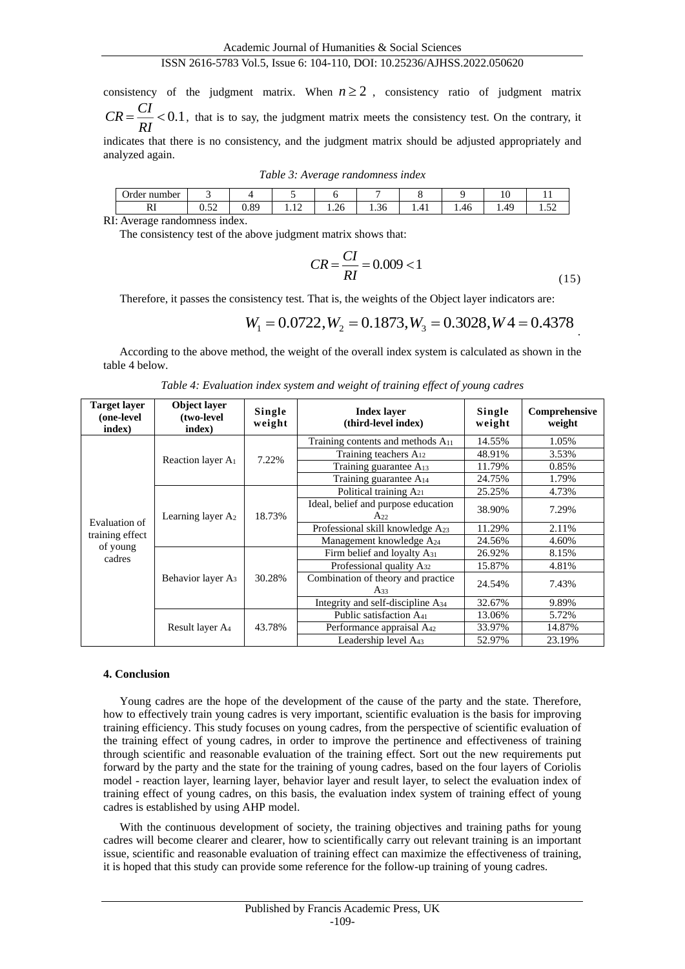## ISSN 2616-5783 Vol.5, Issue 6: 104-110, DOI: 10.25236/AJHSS.2022.050620

consistency of the judgment matrix. When  $n \geq 2$ , consistency ratio of judgment matrix  $=$   $\frac{0.1}{0.1}$  $CR = \frac{CI}{RI} < 0.1$ , that is to say, the judgment matrix meets the consistency test. On the contrary, it indicates that there is no consistency, and the judgment matrix should be adjusted appropriately and analyzed again.

|  | Table 3: Average randomness index |  |
|--|-----------------------------------|--|
|  |                                   |  |

| number<br><b>Jrder</b> | -              |                 | . .         |                |                |      |      | - 11    |                      |
|------------------------|----------------|-----------------|-------------|----------------|----------------|------|------|---------|----------------------|
| $\sim$<br>171          | $\sim$<br>∪.∪∠ | $\Omega$<br>∪.∪ | . .<br>1.14 | $\sim$<br>1.26 | $\sim$<br>1.50 | 1.41 | 1.40 | ΔO<br>. | $-1$<br>. . <i>.</i> |
| ъT.                    |                |                 |             |                |                |      |      |         |                      |

RI: Average randomness index.

The consistency test of the above judgment matrix shows that:

$$
CR = \frac{CI}{RI} = 0.009 < 1\tag{15}
$$

Therefore, it passes the consistency test. That is, the weights of the Object layer indicators are:

$$
W_1 = 0.0722, W_2 = 0.1873, W_3 = 0.3028, W_4 = 0.4378
$$

According to the above method, the weight of the overall index system is calculated as shown in the table 4 below.

| <b>Target layer</b><br>(one-level<br>index) | Object layer<br>(two-level<br>index) | Single<br>weight | <b>Index layer</b><br>(third-level index)       | Single<br>weight | Comprehensive<br>weight |
|---------------------------------------------|--------------------------------------|------------------|-------------------------------------------------|------------------|-------------------------|
|                                             | Reaction layer A <sub>1</sub>        | 7.22%            | Training contents and methods $A_{11}$          | 14.55%           | 1.05%                   |
|                                             |                                      |                  | Training teachers A <sub>12</sub>               | 48.91%           | 3.53%                   |
|                                             |                                      |                  | Training guarantee A <sub>13</sub>              | 11.79%           | 0.85%                   |
|                                             |                                      |                  | Training guarantee A <sub>14</sub>              | 24.75%           | 1.79%                   |
|                                             |                                      | 18.73%           | Political training A <sub>21</sub>              | 25.25%           | 4.73%                   |
|                                             | Learning layer $A_2$                 |                  | Ideal, belief and purpose education<br>$A_{22}$ | 38.90%           | 7.29%                   |
| Evaluation of                               |                                      |                  | Professional skill knowledge A <sub>23</sub>    | 11.29%           | 2.11%                   |
| training effect<br>of young                 |                                      |                  | Management knowledge A <sub>24</sub>            | 24.56%           | 4.60%                   |
| cadres                                      | Behavior layer A <sub>3</sub>        | 30.28%           | Firm belief and loyalty $A_{31}$                | 26.92%           | 8.15%                   |
|                                             |                                      |                  | Professional quality $A_{32}$                   | 15.87%           | 4.81%                   |
|                                             |                                      |                  | Combination of theory and practice<br>$A_{33}$  | 24.54%           | 7.43%                   |
|                                             |                                      |                  | Integrity and self-discipline A <sub>34</sub>   | 32.67%           | 9.89%                   |
|                                             | Result layer A <sub>4</sub>          | 43.78%           | Public satisfaction A <sub>41</sub>             | 13.06%           | 5.72%                   |
|                                             |                                      |                  | Performance appraisal A <sub>42</sub>           | 33.97%           | 14.87%                  |
|                                             |                                      |                  | Leadership level A43                            | 52.97%           | 23.19%                  |

*Table 4: Evaluation index system and weight of training effect of young cadres*

#### **4. Conclusion**

Young cadres are the hope of the development of the cause of the party and the state. Therefore, how to effectively train young cadres is very important, scientific evaluation is the basis for improving training efficiency. This study focuses on young cadres, from the perspective of scientific evaluation of the training effect of young cadres, in order to improve the pertinence and effectiveness of training through scientific and reasonable evaluation of the training effect. Sort out the new requirements put forward by the party and the state for the training of young cadres, based on the four layers of Coriolis model - reaction layer, learning layer, behavior layer and result layer, to select the evaluation index of training effect of young cadres, on this basis, the evaluation index system of training effect of young cadres is established by using AHP model.

With the continuous development of society, the training objectives and training paths for young cadres will become clearer and clearer, how to scientifically carry out relevant training is an important issue, scientific and reasonable evaluation of training effect can maximize the effectiveness of training, it is hoped that this study can provide some reference for the follow-up training of young cadres.